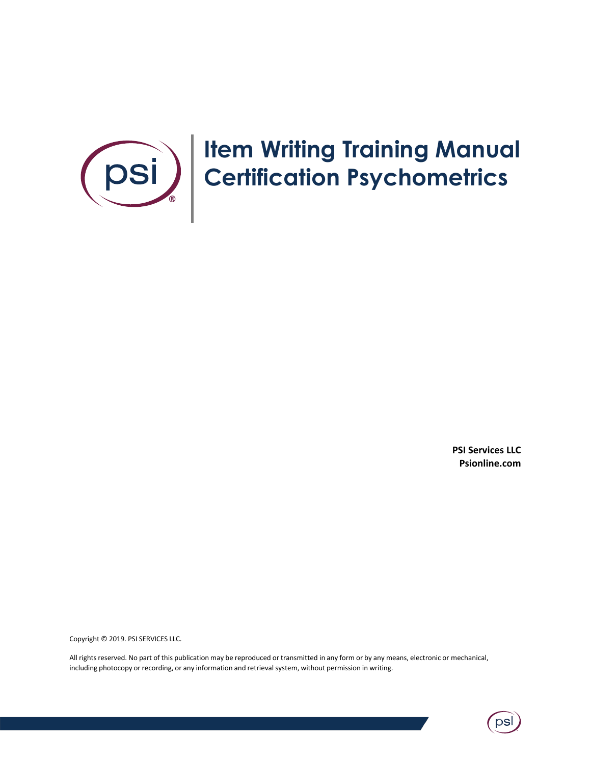

# **Item Writing Training Manual Certification Psychometrics**

**PSI Services LLC Psionline.com**

Copyright © 2019. PSI SERVICES LLC.

All rights reserved. No part of this publication may be reproduced or transmitted in any form or by any means, electronic or mechanical, including photocopy or recording, or any information and retrieval system, without permission in writing.

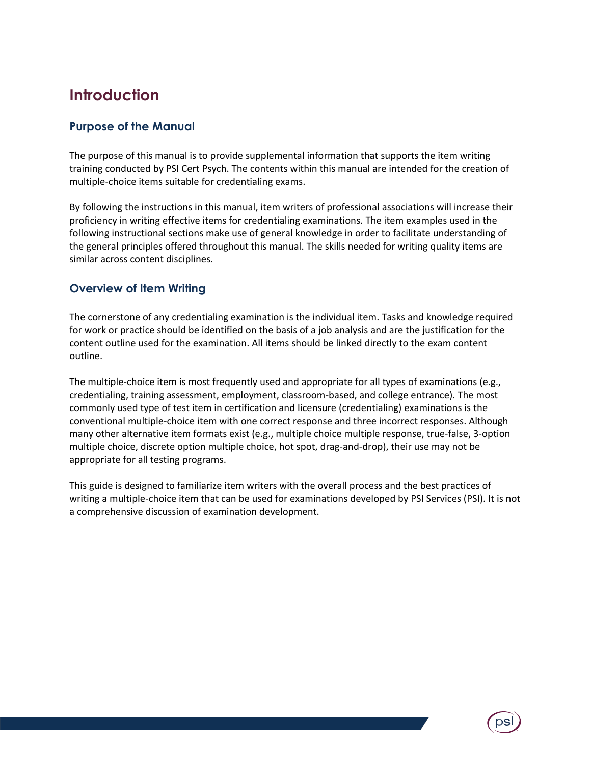# **Introduction**

## **Purpose of the Manual**

The purpose of this manual is to provide supplemental information that supports the item writing training conducted by PSI Cert Psych. The contents within this manual are intended for the creation of multiple-choice items suitable for credentialing exams.

By following the instructions in this manual, item writers of professional associations will increase their proficiency in writing effective items for credentialing examinations. The item examples used in the following instructional sections make use of general knowledge in order to facilitate understanding of the general principles offered throughout this manual. The skills needed for writing quality items are similar across content disciplines.

## **Overview of Item Writing**

The cornerstone of any credentialing examination is the individual item. Tasks and knowledge required for work or practice should be identified on the basis of a job analysis and are the justification for the content outline used for the examination. All items should be linked directly to the exam content outline.

The multiple-choice item is most frequently used and appropriate for all types of examinations (e.g., credentialing, training assessment, employment, classroom-based, and college entrance). The most commonly used type of test item in certification and licensure (credentialing) examinations is the conventional multiple-choice item with one correct response and three incorrect responses. Although many other alternative item formats exist (e.g., multiple choice multiple response, true-false, 3-option multiple choice, discrete option multiple choice, hot spot, drag-and-drop), their use may not be appropriate for all testing programs.

This guide is designed to familiarize item writers with the overall process and the best practices of writing a multiple-choice item that can be used for examinations developed by PSI Services (PSI). It is not a comprehensive discussion of examination development.

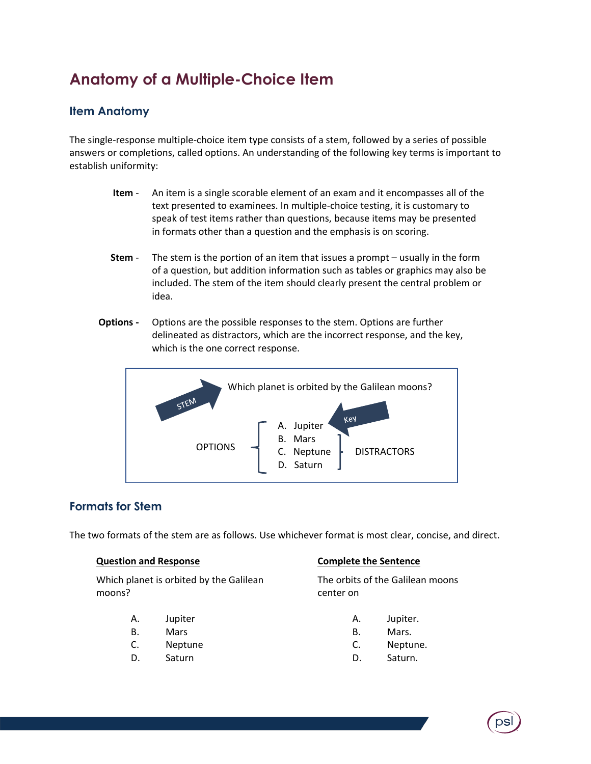# **Anatomy of a Multiple-Choice Item**

# **Item Anatomy**

The single-response multiple-choice item type consists of a stem, followed by a series of possible answers or completions, called options. An understanding of the following key terms is important to establish uniformity:

- **Item** An item is a single scorable element of an exam and it encompasses all of the text presented to examinees. In multiple-choice testing, it is customary to speak of test items rather than questions, because items may be presented in formats other than a question and the emphasis is on scoring.
- **Stem** The stem is the portion of an item that issues a prompt usually in the form of a question, but addition information such as tables or graphics may also be included. The stem of the item should clearly present the central problem or idea.
- **Options -** Options are the possible responses to the stem. Options are further delineated as distractors, which are the incorrect response, and the key, which is the one correct response.



# **Formats for Stem**

The two formats of the stem are as follows. Use whichever format is most clear, concise, and direct.

#### **Question and Response**

Which planet is orbited by the Galilean moons?

- A. Jupiter
- B. Mars
- C. Neptune
- D. Saturn

#### **Complete the Sentence**

The orbits of the Galilean moons center on

- A. Jupiter.
- B. Mars.
- C. Neptune.
- D. Saturn.

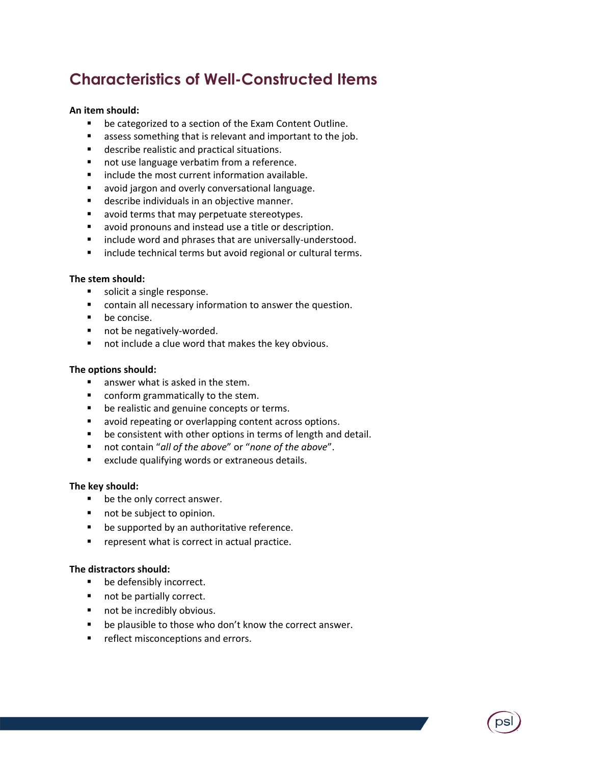# **Characteristics of Well-Constructed Items**

#### **An item should:**

- be categorized to a section of the Exam Content Outline.
- assess something that is relevant and important to the job.
- describe realistic and practical situations.
- not use language verbatim from a reference.
- include the most current information available.
- avoid jargon and overly conversational language.
- describe individuals in an objective manner.
- avoid terms that may perpetuate stereotypes.
- avoid pronouns and instead use a title or description.
- include word and phrases that are universally-understood.
- include technical terms but avoid regional or cultural terms.

#### **The stem should:**

- solicit a single response.
- contain all necessary information to answer the question.
- be concise.
- not be negatively-worded.
- not include a clue word that makes the key obvious.

#### **The options should:**

- answer what is asked in the stem.
- conform grammatically to the stem.
- be realistic and genuine concepts or terms.
- avoid repeating or overlapping content across options.
- be consistent with other options in terms of length and detail.
- not contain "*all of the above*" or "*none of the above*".
- exclude qualifying words or extraneous details.

#### **The key should:**

- be the only correct answer.
- not be subject to opinion.
- be supported by an authoritative reference.
- represent what is correct in actual practice.

#### **The distractors should:**

- be defensibly incorrect.
- not be partially correct.
- not be incredibly obvious.
- be plausible to those who don't know the correct answer.
- **•** reflect misconceptions and errors.

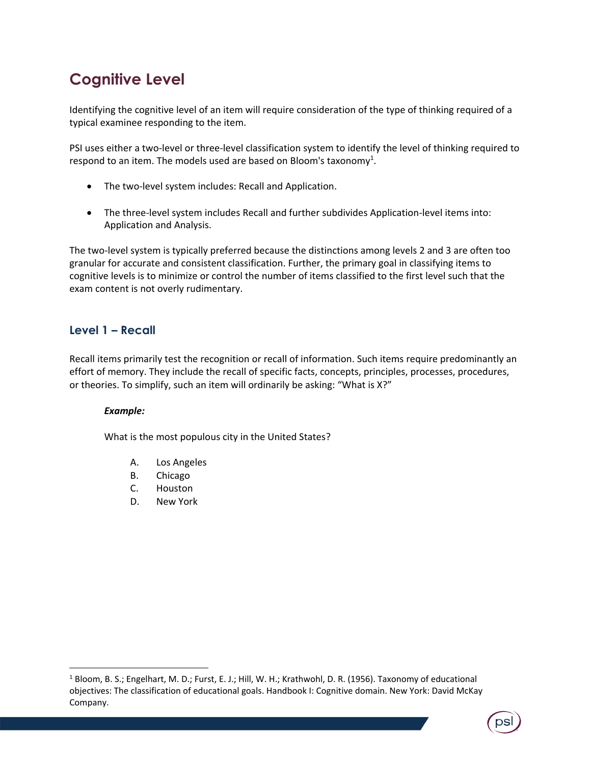# **Cognitive Level**

Identifying the cognitive level of an item will require consideration of the type of thinking required of a typical examinee responding to the item.

PSI uses either a two-level or three-level classification system to identify the level of thinking required to respond to an item. The models used are based on Bloom's taxonomy<sup>1</sup>.

- The two-level system includes: Recall and Application.
- The three-level system includes Recall and further subdivides Application-level items into: Application and Analysis.

The two-level system is typically preferred because the distinctions among levels 2 and 3 are often too granular for accurate and consistent classification. Further, the primary goal in classifying items to cognitive levels is to minimize or control the number of items classified to the first level such that the exam content is not overly rudimentary.

# **Level 1 – Recall**

Recall items primarily test the recognition or recall of information. Such items require predominantly an effort of memory. They include the recall of specific facts, concepts, principles, processes, procedures, or theories. To simplify, such an item will ordinarily be asking: "What is X?"

## *Example:*

 $\overline{\phantom{a}}$ 

What is the most populous city in the United States?

- A. Los Angeles
- B. Chicago
- C. Houston
- D. New York

<sup>1</sup> Bloom, B. S.; Engelhart, M. D.; Furst, E. J.; Hill, W. H.; Krathwohl, D. R. (1956). Taxonomy of educational objectives: The classification of educational goals. Handbook I: Cognitive domain. New York: David McKay Company.

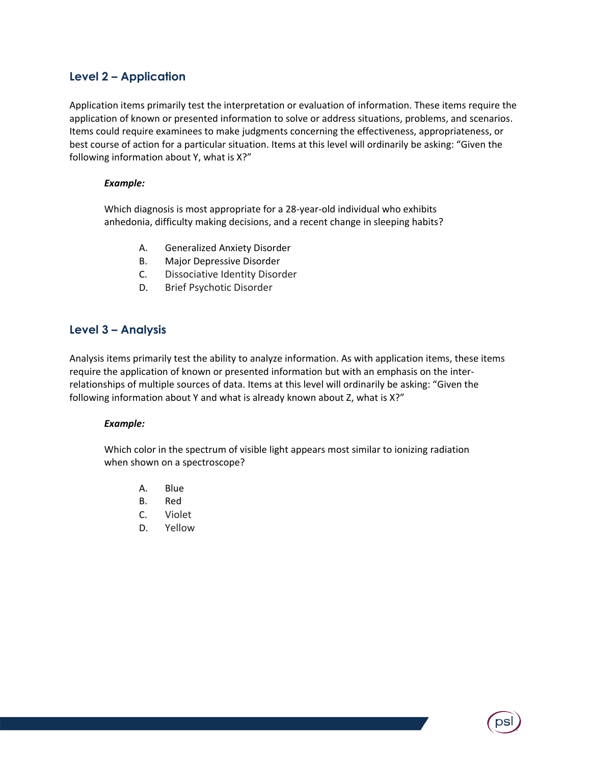## **Level 2 – Application**

Application items primarily test the interpretation or evaluation of information. These items require the application of known or presented information to solve or address situations, problems, and scenarios. Items could require examinees to make judgments concerning the effectiveness, appropriateness, or best course of action for a particular situation. Items at this level will ordinarily be asking: "Given the following information about Y, what is X?"

#### *Example:*

Which diagnosis is most appropriate for a 28-year-old individual who exhibits anhedonia, difficulty making decisions, and a recent change in sleeping habits?

- A. Generalized Anxiety Disorder
- B. Major Depressive Disorder
- C. Dissociative Identity Disorder
- D. Brief Psychotic Disorder

## **Level 3 – Analysis**

Analysis items primarily test the ability to analyze information. As with application items, these items require the application of known or presented information but with an emphasis on the interrelationships of multiple sources of data. Items at this level will ordinarily be asking: "Given the following information about Y and what is already known about Z, what is X?"

#### *Example:*

Which color in the spectrum of visible light appears most similar to ionizing radiation when shown on a spectroscope?

- A. Blue
- B. Red
- C. Violet
- D. Yellow

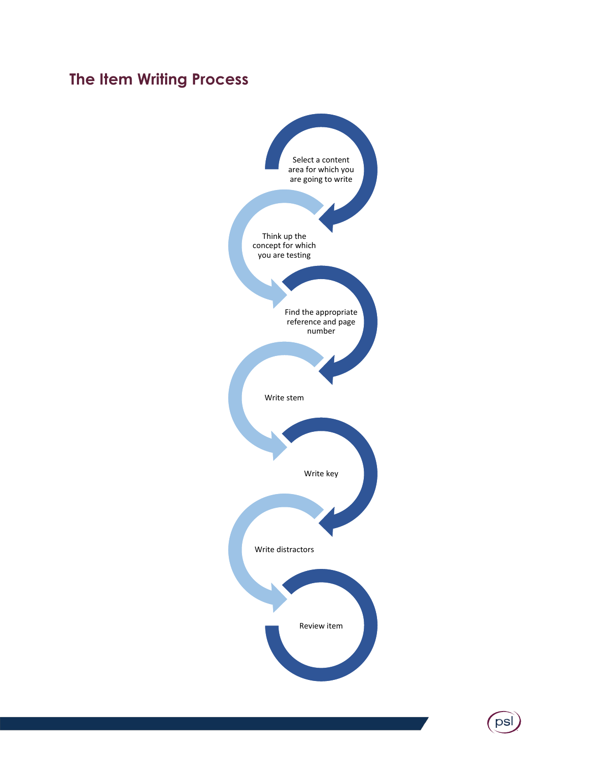# **The Item Writing Process**



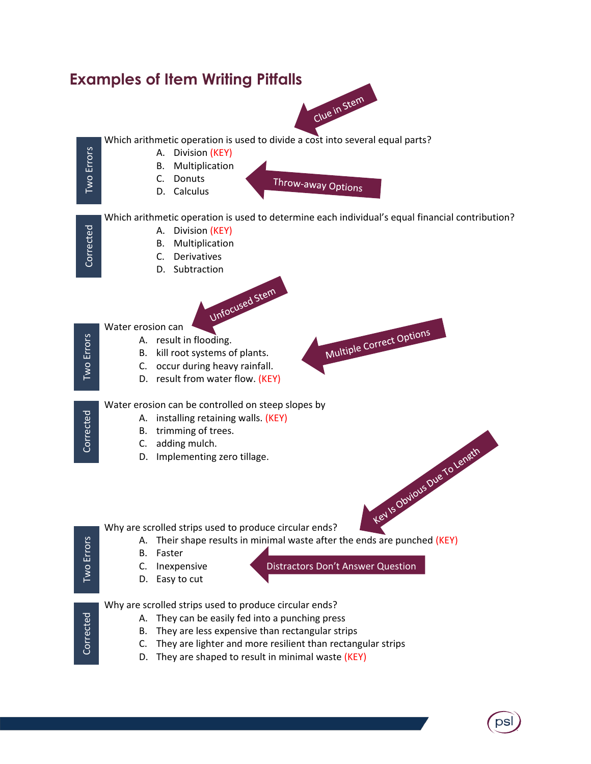

psl